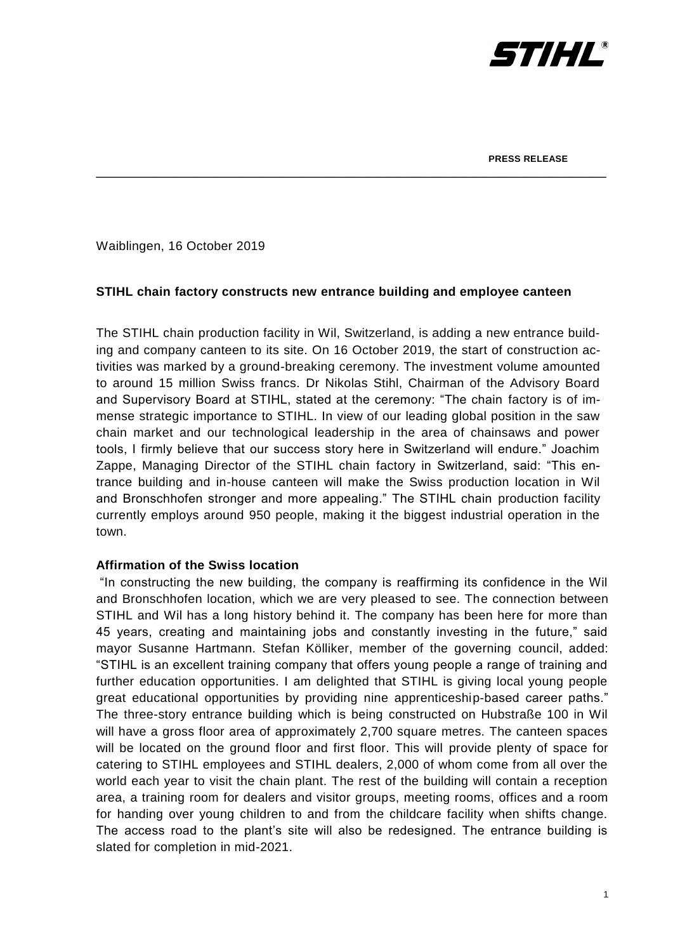

Waiblingen, 16 October 2019

# **STIHL chain factory constructs new entrance building and employee canteen**

\_\_\_\_\_\_\_\_\_\_\_\_\_\_\_\_\_\_\_\_\_\_\_\_\_\_\_\_\_\_\_\_\_\_\_\_\_\_\_\_\_\_\_\_\_\_\_\_\_\_\_\_\_\_\_\_\_\_\_\_\_\_\_\_\_\_\_\_\_\_\_

The STIHL chain production facility in Wil, Switzerland, is adding a new entrance building and company canteen to its site. On 16 October 2019, the start of construction activities was marked by a ground-breaking ceremony. The investment volume amounted to around 15 million Swiss francs. Dr Nikolas Stihl, Chairman of the Advisory Board and Supervisory Board at STIHL, stated at the ceremony: "The chain factory is of immense strategic importance to STIHL. In view of our leading global position in the saw chain market and our technological leadership in the area of chainsaws and power tools, I firmly believe that our success story here in Switzerland will endure." Joachim Zappe, Managing Director of the STIHL chain factory in Switzerland, said: "This entrance building and in-house canteen will make the Swiss production location in Wil and Bronschhofen stronger and more appealing." The STIHL chain production facility currently employs around 950 people, making it the biggest industrial operation in the town.

## **Affirmation of the Swiss location**

"In constructing the new building, the company is reaffirming its confidence in the Wil and Bronschhofen location, which we are very pleased to see. The connection between STIHL and Wil has a long history behind it. The company has been here for more than 45 years, creating and maintaining jobs and constantly investing in the future," said mayor Susanne Hartmann. Stefan Kölliker, member of the governing council, added: "STIHL is an excellent training company that offers young people a range of training and further education opportunities. I am delighted that STIHL is giving local young people great educational opportunities by providing nine apprenticeship-based career paths." The three-story entrance building which is being constructed on Hubstraße 100 in Wil will have a gross floor area of approximately 2,700 square metres. The canteen spaces will be located on the ground floor and first floor. This will provide plenty of space for catering to STIHL employees and STIHL dealers, 2,000 of whom come from all over the world each year to visit the chain plant. The rest of the building will contain a reception area, a training room for dealers and visitor groups, meeting rooms, offices and a room for handing over young children to and from the childcare facility when shifts change. The access road to the plant's site will also be redesigned. The entrance building is slated for completion in mid-2021.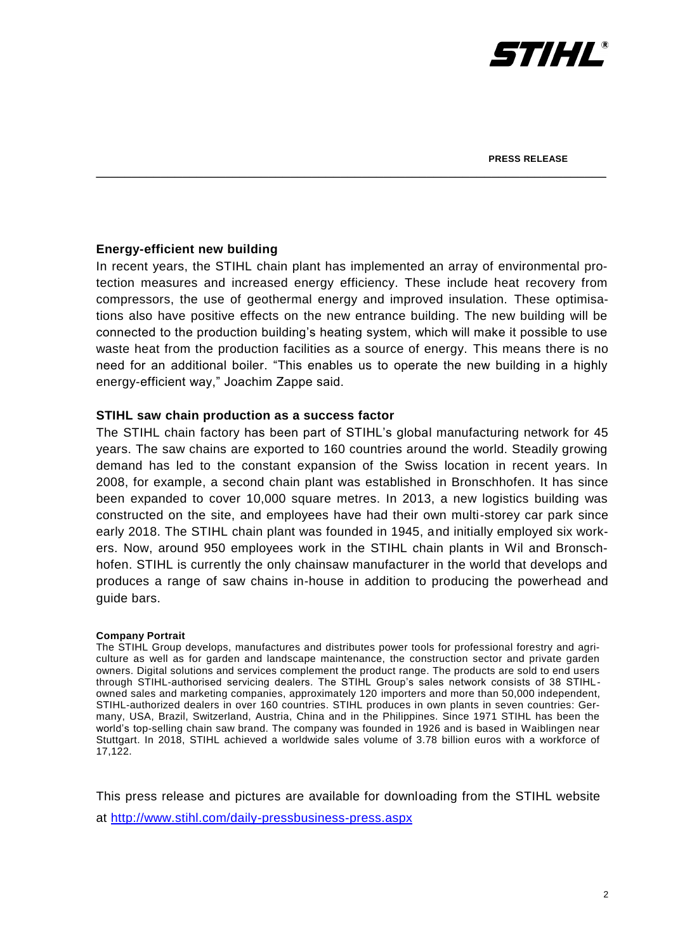

# **Energy-efficient new building**

In recent years, the STIHL chain plant has implemented an array of environmental protection measures and increased energy efficiency. These include heat recovery from compressors, the use of geothermal energy and improved insulation. These optimisations also have positive effects on the new entrance building. The new building will be connected to the production building's heating system, which will make it possible to use waste heat from the production facilities as a source of energy. This means there is no need for an additional boiler. "This enables us to operate the new building in a highly energy-efficient way," Joachim Zappe said.

\_\_\_\_\_\_\_\_\_\_\_\_\_\_\_\_\_\_\_\_\_\_\_\_\_\_\_\_\_\_\_\_\_\_\_\_\_\_\_\_\_\_\_\_\_\_\_\_\_\_\_\_\_\_\_\_\_\_\_\_\_\_\_\_\_\_\_\_\_\_\_

## **STIHL saw chain production as a success factor**

The STIHL chain factory has been part of STIHL's global manufacturing network for 45 years. The saw chains are exported to 160 countries around the world. Steadily growing demand has led to the constant expansion of the Swiss location in recent years. In 2008, for example, a second chain plant was established in Bronschhofen. It has since been expanded to cover 10,000 square metres. In 2013, a new logistics building was constructed on the site, and employees have had their own multi-storey car park since early 2018. The STIHL chain plant was founded in 1945, and initially employed six workers. Now, around 950 employees work in the STIHL chain plants in Wil and Bronschhofen. STIHL is currently the only chainsaw manufacturer in the world that develops and produces a range of saw chains in-house in addition to producing the powerhead and guide bars.

### **Company Portrait**

The STIHL Group develops, manufactures and distributes power tools for professional forestry and agriculture as well as for garden and landscape maintenance, the construction sector and private garden owners. Digital solutions and services complement the product range. The products are sold to end users through STIHL-authorised servicing dealers. The STIHL Group's sales network consists of 38 STIHLowned sales and marketing companies, approximately 120 importers and more than 50,000 independent, STIHL-authorized dealers in over 160 countries. STIHL produces in own plants in seven countries: Germany, USA, Brazil, Switzerland, Austria, China and in the Philippines. Since 1971 STIHL has been the world's top-selling chain saw brand. The company was founded in 1926 and is based in Waiblingen near Stuttgart. In 2018, STIHL achieved a worldwide sales volume of 3.78 billion euros with a workforce of 17,122.

This press release and pictures are available for downloading from the STIHL website at<http://www.stihl.com/daily-pressbusiness-press.aspx>